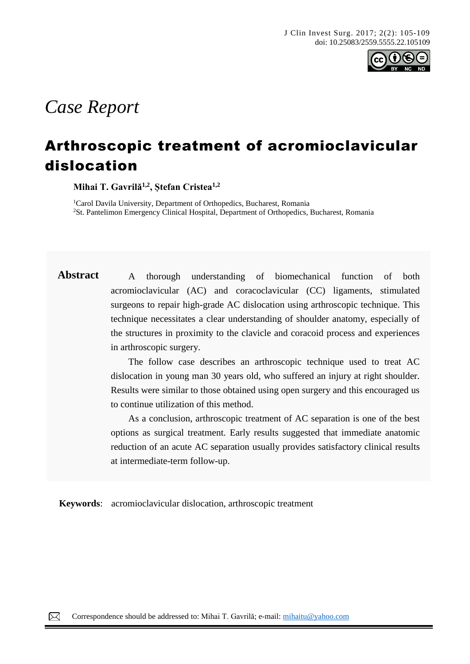

# *Case Report*

## Arthroscopic treatment of acromioclavicular dislocation

**Mihai T. Gavrilă1,2, Ștefan Cristea1,2**

<sup>1</sup>Carol Davila University, Department of Orthopedics, Bucharest, Romania <sup>2</sup>St. Pantelimon Emergency Clinical Hospital, Department of Orthopedics, Bucharest, Romania

Abstract A thorough understanding of biomechanical function of both acromioclavicular (AC) and coracoclavicular (CC) ligaments, stimulated surgeons to repair high-grade AC dislocation using arthroscopic technique. This technique necessitates a clear understanding of shoulder anatomy, especially of the structures in proximity to the clavicle and coracoid process and experiences in arthroscopic surgery.

> The follow case describes an arthroscopic technique used to treat AC dislocation in young man 30 years old, who suffered an injury at right shoulder. Results were similar to those obtained using open surgery and this encouraged us to continue utilization of this method.

> As a conclusion, arthroscopic treatment of AC separation is one of the best options as surgical treatment. Early results suggested that immediate anatomic reduction of an acute AC separation usually provides satisfactory clinical results at intermediate-term follow-up.

**Keywords**: acromioclavicular dislocation, arthroscopic treatment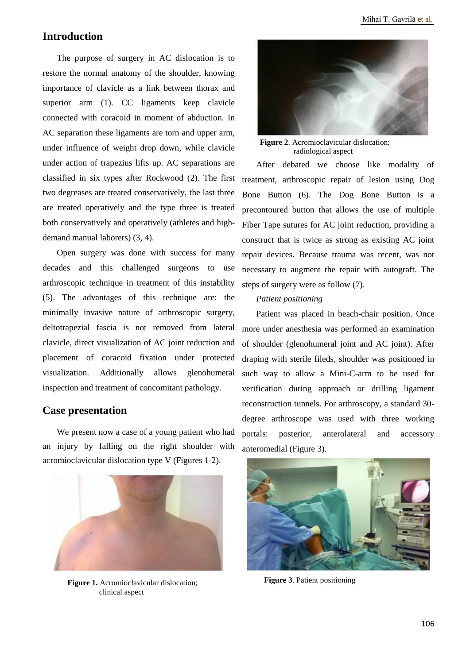### **Introduction**

The purpose of surgery in AC dislocation is to restore the normal anatomy of the shoulder, knowing importance of clavicle as a link between thorax and superior arm (1). CC ligaments keep clavicle connected with coracoid in moment of abduction. In AC separation these ligaments are torn and upper arm, under influence of weight drop down, while clavicle under action of trapezius lifts up. AC separations are classified in six types after Rockwood (2). The first two degreases are treated conservatively, the last three are treated operatively and the type three is treated both conservatively and operatively (athletes and highdemand manual laborers) (3, 4).

Open surgery was done with success for many decades and this challenged surgeons to use arthroscopic technique in treatment of this instability (5). The advantages of this technique are: the minimally invasive nature of arthroscopic surgery, deltotrapezial fascia is not removed from lateral clavicle, direct visualization of AC joint reduction and placement of coracoid fixation under protected visualization. Additionally allows glenohumeral inspection and treatment of concomitant pathology.

#### **Case presentation**

We present now a case of a young patient who had an injury by falling on the right shoulder with acromioclavicular dislocation type V (Figures 1-2).



**Figure 1.** Acromioclavicular dislocation; clinical aspect



**Figure 2**. Acromioclavicular dislocation; radiological aspect

After debated we choose like modality of treatment, arthroscopic repair of lesion using Dog Bone Button (6). The Dog Bone Button is a precontoured button that allows the use of multiple Fiber Tape sutures for AC joint reduction, providing a construct that is twice as strong as existing AC joint repair devices. Because trauma was recent, was not necessary to augment the repair with autograft. The steps of surgery were as follow (7).

#### *Patient positioning*

Patient was placed in beach-chair position. Once more under anesthesia was performed an examination of shoulder (glenohumeral joint and AC joint). After draping with sterile fileds, shoulder was positioned in such way to allow a Mini-C-arm to be used for verification during approach or drilling ligament reconstruction tunnels. For arthroscopy, a standard 30 degree arthroscope was used with three working portals: posterior, anterolateral and accessory anteromedial (Figure 3).



**Figure 3**. Patient positioning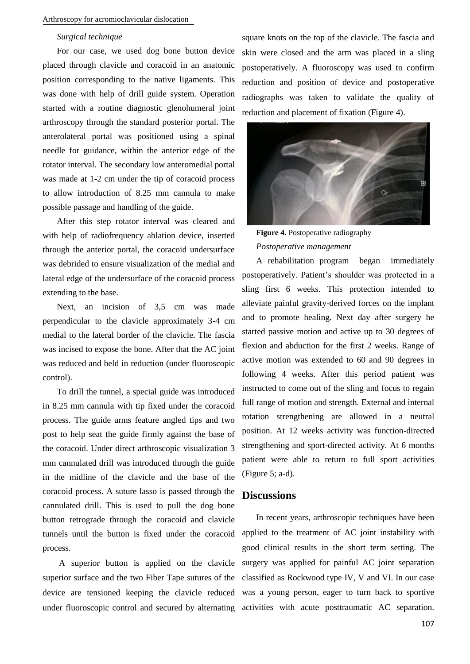#### *Surgical technique*

For our case, we used dog bone button device placed through clavicle and coracoid in an anatomic position corresponding to the native ligaments. This was done with help of drill guide system. Operation started with a routine diagnostic glenohumeral joint arthroscopy through the standard posterior portal. The anterolateral portal was positioned using a spinal needle for guidance, within the anterior edge of the rotator interval. The secondary low anteromedial portal was made at 1-2 cm under the tip of coracoid process to allow introduction of 8.25 mm cannula to make possible passage and handling of the guide.

After this step rotator interval was cleared and with help of radiofrequency ablation device, inserted through the anterior portal, the coracoid undersurface was debrided to ensure visualization of the medial and lateral edge of the undersurface of the coracoid process extending to the base.

Next, an incision of 3,5 cm was made perpendicular to the clavicle approximately 3-4 cm medial to the lateral border of the clavicle. The fascia was incised to expose the bone. After that the AC joint was reduced and held in reduction (under fluoroscopic control).

To drill the tunnel, a special guide was introduced in 8.25 mm cannula with tip fixed under the coracoid process. The guide arms feature angled tips and two post to help seat the guide firmly against the base of the coracoid. Under direct arthroscopic visualization 3 mm cannulated drill was introduced through the guide in the midline of the clavicle and the base of the coracoid process. A suture lasso is passed through the cannulated drill. This is used to pull the dog bone button retrograde through the coracoid and clavicle tunnels until the button is fixed under the coracoid process.

A superior button is applied on the clavicle superior surface and the two Fiber Tape sutures of the device are tensioned keeping the clavicle reduced under fluoroscopic control and secured by alternating activities with acute posttraumatic AC separation.

square knots on the top of the clavicle. The fascia and skin were closed and the arm was placed in a sling postoperatively. A fluoroscopy was used to confirm reduction and position of device and postoperative radiographs was taken to validate the quality of reduction and placement of fixation (Figure 4).



**Figure 4.** Postoperative radiography *Postoperative management*

A rehabilitation program began immediately postoperatively. Patient's shoulder was protected in a sling first 6 weeks. This protection intended to alleviate painful gravity-derived forces on the implant and to promote healing. Next day after surgery he started passive motion and active up to 30 degrees of flexion and abduction for the first 2 weeks. Range of active motion was extended to 60 and 90 degrees in following 4 weeks. After this period patient was instructed to come out of the sling and focus to regain full range of motion and strength. External and internal rotation strengthening are allowed in a neutral position. At 12 weeks activity was function-directed strengthening and sport-directed activity. At 6 months patient were able to return to full sport activities (Figure 5; a-d).

#### **Discussions**

In recent years, arthroscopic techniques have been applied to the treatment of AC joint instability with good clinical results in the short term setting. The surgery was applied for painful AC joint separation classified as Rockwood type IV, V and VI. In our case was a young person, eager to turn back to sportive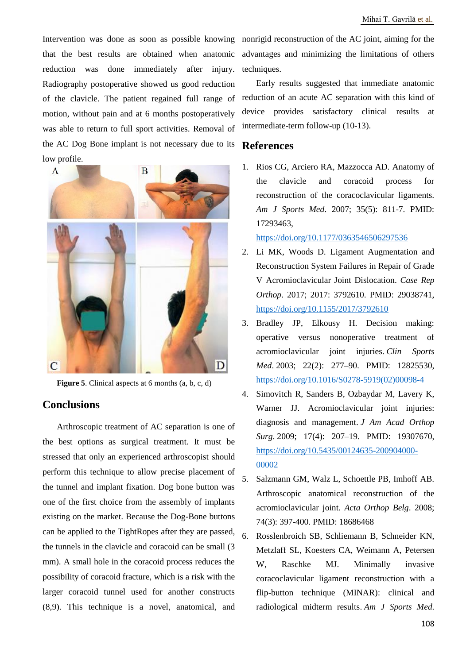that the best results are obtained when anatomic reduction was done immediately after injury. Radiography postoperative showed us good reduction of the clavicle. The patient regained full range of motion, without pain and at 6 months postoperatively was able to return to full sport activities. Removal of the AC Dog Bone implant is not necessary due to its low profile.



**Figure 5**. Clinical aspects at 6 months (a, b, c, d)

#### **Conclusions**

Arthroscopic treatment of AC separation is one of the best options as surgical treatment. It must be stressed that only an experienced arthroscopist should perform this technique to allow precise placement of the tunnel and implant fixation. Dog bone button was one of the first choice from the assembly of implants existing on the market. Because the Dog-Bone buttons can be applied to the TightRopes after they are passed, the tunnels in the clavicle and coracoid can be small (3 mm). A small hole in the coracoid process reduces the possibility of coracoid fracture, which is a risk with the larger coracoid tunnel used for another constructs (8,9). This technique is a novel, anatomical, and

Intervention was done as soon as possible knowing nonrigid reconstruction of the AC joint, aiming for the advantages and minimizing the limitations of others techniques.

> Early results suggested that immediate anatomic reduction of an acute AC separation with this kind of device provides satisfactory clinical results at intermediate-term follow-up (10-13).

#### **References**

1. Rios CG, Arciero RA, Mazzocca AD. Anatomy of the clavicle and coracoid process for reconstruction of the coracoclavicular ligaments. *Am J Sports Med*. 2007; 35(5): 811-7. PMID: 17293463,

<https://doi.org/10.1177/0363546506297536>

- 2. Li MK, Woods D. Ligament Augmentation and Reconstruction System Failures in Repair of Grade V Acromioclavicular Joint Dislocation. *Case Rep Orthop*. 2017; 2017: 3792610. PMID: 29038741, <https://doi.org/10.1155/2017/3792610>
- 3. Bradley JP, Elkousy H. Decision making: operative versus nonoperative treatment of acromioclavicular joint injuries. *Clin Sports Med*. 2003; 22(2): 277–90. PMID: 12825530, [https://doi.org/10.1016/S0278-5919\(02\)00098-4](https://doi.org/10.1016/S0278-5919(02)00098-4)
- 4. Simovitch R, Sanders B, Ozbaydar M, Lavery K, Warner JJ. Acromioclavicular joint injuries: diagnosis and management. *J Am Acad Orthop Surg*. 2009; 17(4): 207–19. PMID: 19307670, [https://doi.org/10.5435/00124635-200904000-](https://doi.org/10.5435/00124635-200904000-00002) [00002](https://doi.org/10.5435/00124635-200904000-00002)
- 5. Salzmann GM, Walz L, Schoettle PB, Imhoff AB. Arthroscopic anatomical reconstruction of the acromioclavicular joint. *Acta Orthop Belg*. 2008; 74(3): 397-400. PMID: 18686468
- 6. Rosslenbroich SB, Schliemann B, Schneider KN, Metzlaff SL, Koesters CA, Weimann A, Petersen W, Raschke MJ. Minimally invasive coracoclavicular ligament reconstruction with a flip-button technique (MINAR): clinical and radiological midterm results. *Am J Sports Med*.